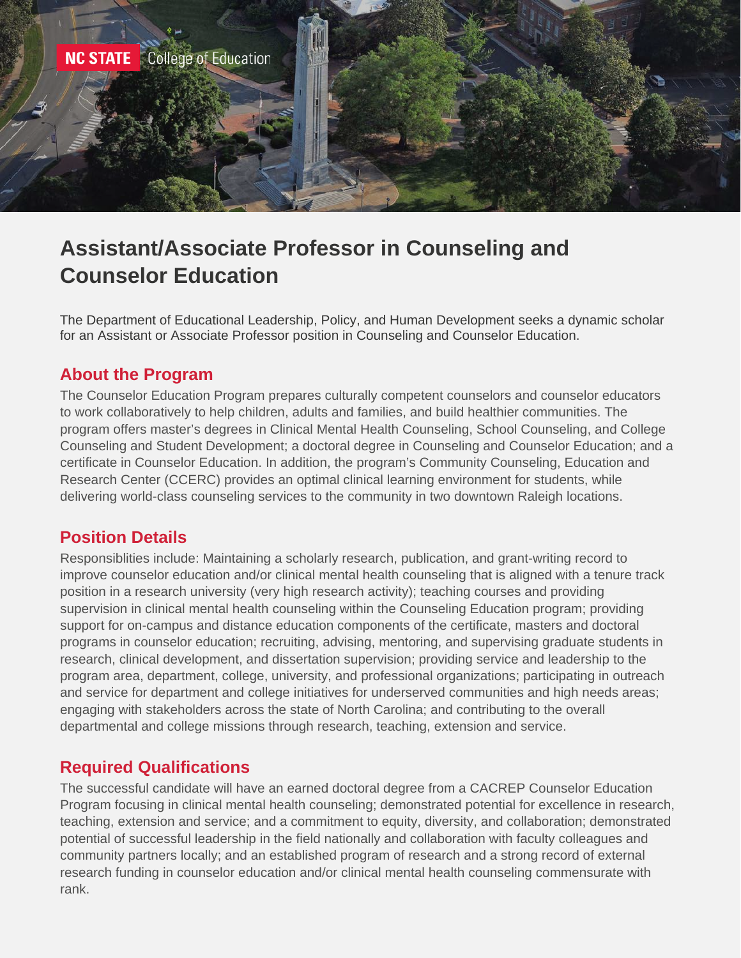

# **Assistant/Associate Professor in Counseling and Counselor Education**

The Department of Educational Leadership, Policy, and Human Development seeks a dynamic scholar for an Assistant or Associate Professor position in Counseling and Counselor Education.

## **About the Program**

The Counselor Education Program prepares culturally competent counselors and counselor educators to work collaboratively to help children, adults and families, and build healthier communities. The program offers master's degrees in Clinical Mental Health Counseling, School Counseling, and College Counseling and Student Development; a doctoral degree in Counseling and Counselor Education; and a certificate in Counselor Education. In addition, the program's Community Counseling, Education and Research Center (CCERC) provides an optimal clinical learning environment for students, while delivering world-class counseling services to the community in two downtown Raleigh locations.

#### **Position Details**

Responsiblities include: Maintaining a scholarly research, publication, and grant-writing record to improve counselor education and/or clinical mental health counseling that is aligned with a tenure track position in a research university (very high research activity); teaching courses and providing supervision in clinical mental health counseling within the Counseling Education program; providing support for on-campus and distance education components of the certificate, masters and doctoral programs in counselor education; recruiting, advising, mentoring, and supervising graduate students in research, clinical development, and dissertation supervision; providing service and leadership to the program area, department, college, university, and professional organizations; participating in outreach and service for department and college initiatives for underserved communities and high needs areas; engaging with stakeholders across the state of North Carolina; and contributing to the overall departmental and college missions through research, teaching, extension and service.

# **Required Qualifications**

The successful candidate will have an earned doctoral degree from a CACREP Counselor Education Program focusing in clinical mental health counseling; demonstrated potential for excellence in research, teaching, extension and service; and a commitment to equity, diversity, and collaboration; demonstrated potential of successful leadership in the field nationally and collaboration with faculty colleagues and community partners locally; and an established program of research and a strong record of external research funding in counselor education and/or clinical mental health counseling commensurate with rank.